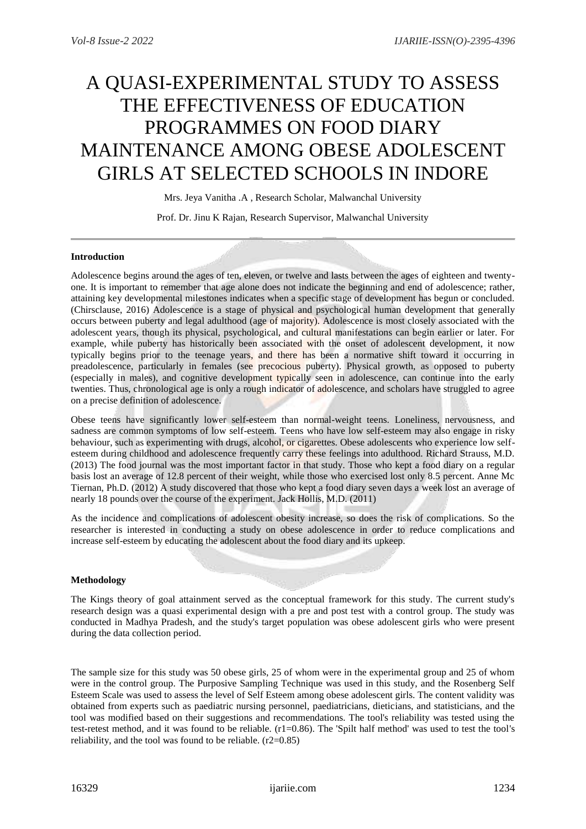# A QUASI-EXPERIMENTAL STUDY TO ASSESS THE EFFECTIVENESS OF EDUCATION PROGRAMMES ON FOOD DIARY MAINTENANCE AMONG OBESE ADOLESCENT GIRLS AT SELECTED SCHOOLS IN INDORE

Mrs. Jeya Vanitha .A , Research Scholar, Malwanchal University

Prof. Dr. Jinu K Rajan, Research Supervisor, Malwanchal University

### **Introduction**

Adolescence begins around the ages of ten, eleven, or twelve and lasts between the ages of eighteen and twentyone. It is important to remember that age alone does not indicate the beginning and end of adolescence; rather, attaining key developmental milestones indicates when a specific stage of development has begun or concluded. (Chirsclause, 2016) Adolescence is a stage of physical and psychological human development that generally occurs between puberty and legal adulthood (age of majority). Adolescence is most closely associated with the adolescent years, though its physical, psychological, and cultural manifestations can begin earlier or later. For example, while puberty has historically been associated with the onset of adolescent development, it now typically begins prior to the teenage years, and there has been a normative shift toward it occurring in preadolescence, particularly in females (see precocious puberty). Physical growth, as opposed to puberty (especially in males), and cognitive development typically seen in adolescence, can continue into the early twenties. Thus, chronological age is only a rough indicator of adolescence, and scholars have struggled to agree on a precise definition of adolescence.

Obese teens have significantly lower self-esteem than normal-weight teens. Loneliness, nervousness, and sadness are common symptoms of low self-esteem. Teens who have low self-esteem may also engage in risky behaviour, such as experimenting with drugs, alcohol, or cigarettes. Obese adolescents who experience low selfesteem during childhood and adolescence frequently carry these feelings into adulthood. Richard Strauss, M.D. (2013) The food journal was the most important factor in that study. Those who kept a food diary on a regular basis lost an average of 12.8 percent of their weight, while those who exercised lost only 8.5 percent. Anne Mc Tiernan, Ph.D. (2012) A study discovered that those who kept a food diary seven days a week lost an average of nearly 18 pounds over the course of the experiment. Jack Hollis, M.D. (2011)

As the incidence and complications of adolescent obesity increase, so does the risk of complications. So the researcher is interested in conducting a study on obese adolescence in order to reduce complications and increase self-esteem by educating the adolescent about the food diary and its upkeep.

# **Methodology**

The Kings theory of goal attainment served as the conceptual framework for this study. The current study's research design was a quasi experimental design with a pre and post test with a control group. The study was conducted in Madhya Pradesh, and the study's target population was obese adolescent girls who were present during the data collection period.

The sample size for this study was 50 obese girls, 25 of whom were in the experimental group and 25 of whom were in the control group. The Purposive Sampling Technique was used in this study, and the Rosenberg Self Esteem Scale was used to assess the level of Self Esteem among obese adolescent girls. The content validity was obtained from experts such as paediatric nursing personnel, paediatricians, dieticians, and statisticians, and the tool was modified based on their suggestions and recommendations. The tool's reliability was tested using the test-retest method, and it was found to be reliable. (r1=0.86). The 'Spilt half method' was used to test the tool's reliability, and the tool was found to be reliable.  $(r2=0.85)$